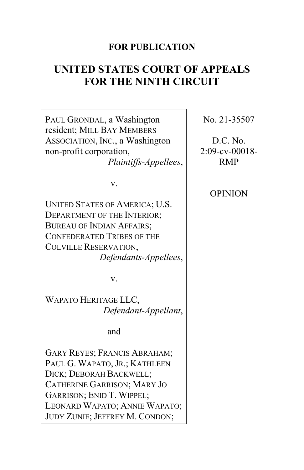# **FOR PUBLICATION**

# **UNITED STATES COURT OF APPEALS FOR THE NINTH CIRCUIT**

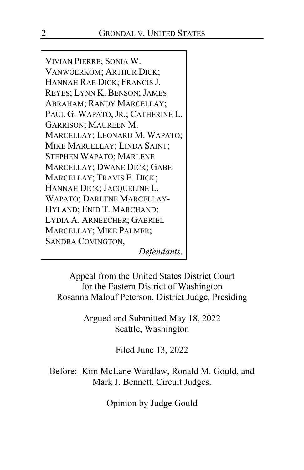VIVIAN PIERRE; SONIA W. VANWOERKOM; ARTHUR DICK; HANNAH RAE DICK; FRANCIS J. REYES; LYNN K. BENSON; JAMES ABRAHAM; RANDY MARCELLAY; PAUL G. WAPATO, JR.; CATHERINE L. GARRISON; MAUREEN M. MARCELLAY; LEONARD M. WAPATO; MIKE MARCELLAY; LINDA SAINT; STEPHEN WAPATO; MARLENE MARCELLAY; DWANE DICK; GABE MARCELLAY; TRAVIS E. DICK; HANNAH DICK; JACQUELINE L. WAPATO; DARLENE MARCELLAY-HYLAND; ENID T. MARCHAND; LYDIA A. ARNEECHER; GABRIEL MARCELLAY; MIKE PALMER; SANDRA COVINGTON,

*Defendants.*

Appeal from the United States District Court for the Eastern District of Washington Rosanna Malouf Peterson, District Judge, Presiding

> Argued and Submitted May 18, 2022 Seattle, Washington

> > Filed June 13, 2022

Before: Kim McLane Wardlaw, Ronald M. Gould, and Mark J. Bennett, Circuit Judges.

Opinion by Judge Gould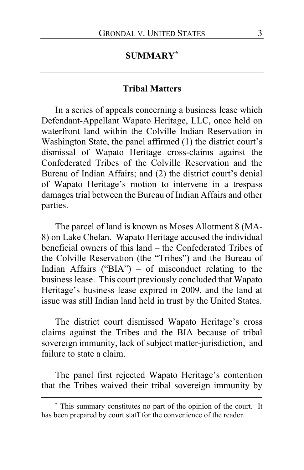# **SUMMARY[\\*](#page-2-0)**

#### **Tribal Matters**

In a series of appeals concerning a business lease which Defendant-Appellant Wapato Heritage, LLC, once held on waterfront land within the Colville Indian Reservation in Washington State, the panel affirmed (1) the district court's dismissal of Wapato Heritage cross-claims against the Confederated Tribes of the Colville Reservation and the Bureau of Indian Affairs; and (2) the district court's denial of Wapato Heritage's motion to intervene in a trespass damages trial between the Bureau of Indian Affairs and other parties.

The parcel of land is known as Moses Allotment 8 (MA-8) on Lake Chelan. Wapato Heritage accused the individual beneficial owners of this land – the Confederated Tribes of the Colville Reservation (the "Tribes") and the Bureau of Indian Affairs ("BIA") – of misconduct relating to the business lease. This court previously concluded that Wapato Heritage's business lease expired in 2009, and the land at issue was still Indian land held in trust by the United States.

The district court dismissed Wapato Heritage's cross claims against the Tribes and the BIA because of tribal sovereign immunity, lack of subject matter-jurisdiction, and failure to state a claim.

The panel first rejected Wapato Heritage's contention that the Tribes waived their tribal sovereign immunity by

<span id="page-2-0"></span>**<sup>\*</sup>** This summary constitutes no part of the opinion of the court. It has been prepared by court staff for the convenience of the reader.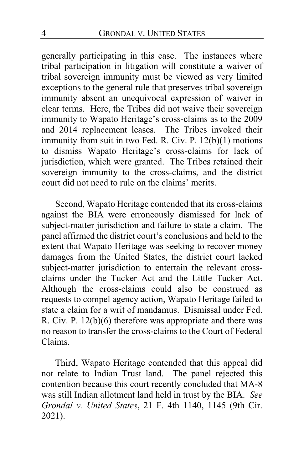generally participating in this case. The instances where tribal participation in litigation will constitute a waiver of tribal sovereign immunity must be viewed as very limited exceptions to the general rule that preserves tribal sovereign immunity absent an unequivocal expression of waiver in clear terms. Here, the Tribes did not waive their sovereign immunity to Wapato Heritage's cross-claims as to the 2009 and 2014 replacement leases. The Tribes invoked their immunity from suit in two Fed. R. Civ. P. 12(b)(1) motions to dismiss Wapato Heritage's cross-claims for lack of jurisdiction, which were granted. The Tribes retained their sovereign immunity to the cross-claims, and the district court did not need to rule on the claims' merits.

Second, Wapato Heritage contended that its cross-claims against the BIA were erroneously dismissed for lack of subject-matter jurisdiction and failure to state a claim. The panel affirmed the district court's conclusions and held to the extent that Wapato Heritage was seeking to recover money damages from the United States, the district court lacked subject-matter jurisdiction to entertain the relevant crossclaims under the Tucker Act and the Little Tucker Act. Although the cross-claims could also be construed as requests to compel agency action, Wapato Heritage failed to state a claim for a writ of mandamus. Dismissal under Fed. R. Civ. P. 12(b)(6) therefore was appropriate and there was no reason to transfer the cross-claims to the Court of Federal Claims.

Third, Wapato Heritage contended that this appeal did not relate to Indian Trust land. The panel rejected this contention because this court recently concluded that MA-8 was still Indian allotment land held in trust by the BIA. *See Grondal v. United States*, 21 F. 4th 1140, 1145 (9th Cir. 2021).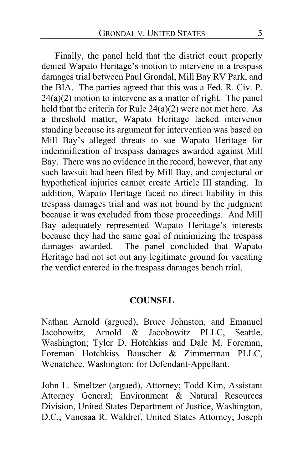Finally, the panel held that the district court properly denied Wapato Heritage's motion to intervene in a trespass damages trial between Paul Grondal, Mill Bay RV Park, and the BIA. The parties agreed that this was a Fed. R. Civ. P.  $24(a)(2)$  motion to intervene as a matter of right. The panel held that the criteria for Rule 24(a)(2) were not met here. As a threshold matter, Wapato Heritage lacked intervenor standing because its argument for intervention was based on Mill Bay's alleged threats to sue Wapato Heritage for indemnification of trespass damages awarded against Mill Bay. There was no evidence in the record, however, that any such lawsuit had been filed by Mill Bay, and conjectural or hypothetical injuries cannot create Article III standing. In addition, Wapato Heritage faced no direct liability in this trespass damages trial and was not bound by the judgment because it was excluded from those proceedings.And Mill Bay adequately represented Wapato Heritage's interests because they had the same goal of minimizing the trespass damages awarded. The panel concluded that Wapato Heritage had not set out any legitimate ground for vacating the verdict entered in the trespass damages bench trial.

#### **COUNSEL**

Nathan Arnold (argued), Bruce Johnston, and Emanuel Jacobowitz, Arnold & Jacobowitz PLLC, Seattle, Washington; Tyler D. Hotchkiss and Dale M. Foreman, Foreman Hotchkiss Bauscher & Zimmerman PLLC, Wenatchee, Washington; for Defendant-Appellant.

John L. Smeltzer (argued), Attorney; Todd Kim, Assistant Attorney General; Environment & Natural Resources Division, United States Department of Justice, Washington, D.C.; Vanesaa R. Waldref, United States Attorney; Joseph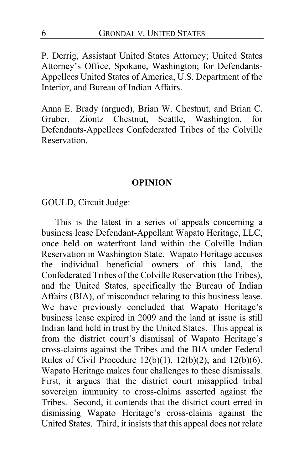P. Derrig, Assistant United States Attorney; United States Attorney's Office, Spokane, Washington; for Defendants-Appellees United States of America, U.S. Department of the Interior, and Bureau of Indian Affairs.

Anna E. Brady (argued), Brian W. Chestnut, and Brian C. Gruber, Ziontz Chestnut, Seattle, Washington, for Defendants-Appellees Confederated Tribes of the Colville Reservation.

#### **OPINION**

GOULD, Circuit Judge:

This is the latest in a series of appeals concerning a business lease Defendant-Appellant Wapato Heritage, LLC, once held on waterfront land within the Colville Indian Reservation in Washington State. Wapato Heritage accuses the individual beneficial owners of this land, the Confederated Tribes of the Colville Reservation (the Tribes), and the United States, specifically the Bureau of Indian Affairs (BIA), of misconduct relating to this business lease. We have previously concluded that Wapato Heritage's business lease expired in 2009 and the land at issue is still Indian land held in trust by the United States. This appeal is from the district court's dismissal of Wapato Heritage's cross-claims against the Tribes and the BIA under Federal Rules of Civil Procedure  $12(b)(1)$ ,  $12(b)(2)$ , and  $12(b)(6)$ . Wapato Heritage makes four challenges to these dismissals. First, it argues that the district court misapplied tribal sovereign immunity to cross-claims asserted against the Tribes. Second, it contends that the district court erred in dismissing Wapato Heritage's cross-claims against the United States. Third, it insists that this appeal does not relate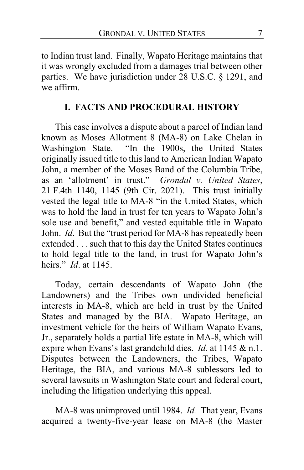to Indian trust land. Finally, Wapato Heritage maintains that it was wrongly excluded from a damages trial between other parties. We have jurisdiction under 28 U.S.C. § 1291, and we affirm.

# **I. FACTS AND PROCEDURAL HISTORY**

This case involves a dispute about a parcel of Indian land known as Moses Allotment 8 (MA-8) on Lake Chelan in Washington State. "In the 1900s, the United States originally issued title to this land to American Indian Wapato John, a member of the Moses Band of the Columbia Tribe, as an 'allotment' in trust." *Grondal v. United States*, 21 F.4th 1140, 1145 (9th Cir. 2021). This trust initially vested the legal title to MA-8 "in the United States, which was to hold the land in trust for ten years to Wapato John's sole use and benefit," and vested equitable title in Wapato John. *Id*. But the "trust period for MA-8 has repeatedly been extended . . . such that to this day the United States continues to hold legal title to the land, in trust for Wapato John's heirs." *Id*. at 1145.

Today, certain descendants of Wapato John (the Landowners) and the Tribes own undivided beneficial interests in MA-8, which are held in trust by the United States and managed by the BIA. Wapato Heritage, an investment vehicle for the heirs of William Wapato Evans, Jr., separately holds a partial life estate in MA-8, which will expire when Evans's last grandchild dies. *Id.* at 1145 & n.1. Disputes between the Landowners, the Tribes, Wapato Heritage, the BIA, and various MA-8 sublessors led to several lawsuits in Washington State court and federal court, including the litigation underlying this appeal.

MA-8 was unimproved until 1984. *Id.* That year, Evans acquired a twenty-five-year lease on MA-8 (the Master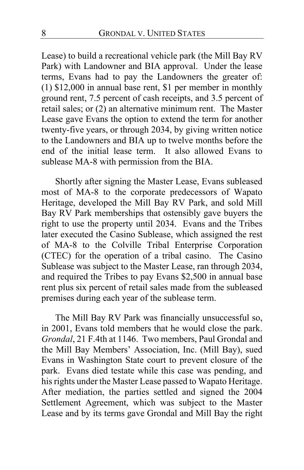Lease) to build a recreational vehicle park (the Mill Bay RV Park) with Landowner and BIA approval. Under the lease terms, Evans had to pay the Landowners the greater of: (1) \$12,000 in annual base rent, \$1 per member in monthly ground rent, 7.5 percent of cash receipts, and 3.5 percent of retail sales; or (2) an alternative minimum rent.The Master Lease gave Evans the option to extend the term for another twenty-five years, or through 2034, by giving written notice to the Landowners and BIA up to twelve months before the end of the initial lease term. It also allowed Evans to sublease MA-8 with permission from the BIA.

Shortly after signing the Master Lease, Evans subleased most of MA-8 to the corporate predecessors of Wapato Heritage, developed the Mill Bay RV Park, and sold Mill Bay RV Park memberships that ostensibly gave buyers the right to use the property until 2034. Evans and the Tribes later executed the Casino Sublease, which assigned the rest of MA-8 to the Colville Tribal Enterprise Corporation (CTEC) for the operation of a tribal casino.The Casino Sublease was subject to the Master Lease, ran through 2034, and required the Tribes to pay Evans \$2,500 in annual base rent plus six percent of retail sales made from the subleased premises during each year of the sublease term.

The Mill Bay RV Park was financially unsuccessful so, in 2001, Evans told members that he would close the park. *Grondal*, 21 F.4th at 1146. Two members, Paul Grondal and the Mill Bay Members' Association, Inc. (Mill Bay), sued Evans in Washington State court to prevent closure of the park. Evans died testate while this case was pending, and his rights under the Master Lease passed to Wapato Heritage. After mediation, the parties settled and signed the 2004 Settlement Agreement, which was subject to the Master Lease and by its terms gave Grondal and Mill Bay the right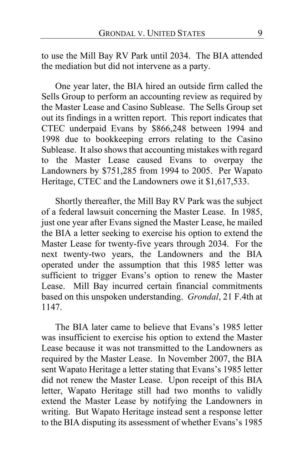to use the Mill Bay RV Park until 2034. The BIA attended the mediation but did not intervene as a party.

One year later, the BIA hired an outside firm called the Sells Group to perform an accounting review as required by the Master Lease and Casino Sublease. The Sells Group set out its findings in a written report. This report indicates that CTEC underpaid Evans by \$866,248 between 1994 and 1998 due to bookkeeping errors relating to the Casino Sublease. It also shows that accounting mistakes with regard to the Master Lease caused Evans to overpay the Landowners by \$751,285 from 1994 to 2005. Per Wapato Heritage, CTEC and the Landowners owe it \$1,617,533.

Shortly thereafter, the Mill Bay RV Park was the subject of a federal lawsuit concerning the Master Lease. In 1985, just one year after Evans signed the Master Lease, he mailed the BIA a letter seeking to exercise his option to extend the Master Lease for twenty-five years through 2034. For the next twenty-two years, the Landowners and the BIA operated under the assumption that this 1985 letter was sufficient to trigger Evans's option to renew the Master Lease. Mill Bay incurred certain financial commitments based on this unspoken understanding. *Grondal*, 21 F.4th at 1147.

The BIA later came to believe that Evans's 1985 letter was insufficient to exercise his option to extend the Master Lease because it was not transmitted to the Landowners as required by the Master Lease. In November 2007, the BIA sent Wapato Heritage a letter stating that Evans's 1985 letter did not renew the Master Lease. Upon receipt of this BIA letter, Wapato Heritage still had two months to validly extend the Master Lease by notifying the Landowners in writing. But Wapato Heritage instead sent a response letter to the BIA disputing its assessment of whether Evans's 1985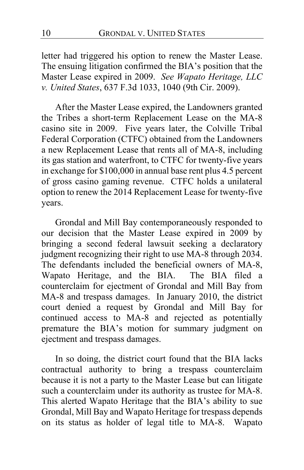letter had triggered his option to renew the Master Lease. The ensuing litigation confirmed the BIA's position that the Master Lease expired in 2009. *See Wapato Heritage, LLC v. United States*, 637 F.3d 1033, 1040 (9th Cir. 2009).

After the Master Lease expired, the Landowners granted the Tribes a short-term Replacement Lease on the MA-8 casino site in 2009. Five years later, the Colville Tribal Federal Corporation (CTFC) obtained from the Landowners a new Replacement Lease that rents all of MA-8, including its gas station and waterfront, to CTFC for twenty-five years in exchange for \$100,000 in annual base rent plus 4.5 percent of gross casino gaming revenue.CTFC holds a unilateral option to renew the 2014 Replacement Lease for twenty-five years.

Grondal and Mill Bay contemporaneously responded to our decision that the Master Lease expired in 2009 by bringing a second federal lawsuit seeking a declaratory judgment recognizing their right to use MA-8 through 2034. The defendants included the beneficial owners of MA-8, Wapato Heritage, and the BIA. The BIA filed a counterclaim for ejectment of Grondal and Mill Bay from MA-8 and trespass damages.In January 2010, the district court denied a request by Grondal and Mill Bay for continued access to MA-8 and rejected as potentially premature the BIA's motion for summary judgment on ejectment and trespass damages.

In so doing, the district court found that the BIA lacks contractual authority to bring a trespass counterclaim because it is not a party to the Master Lease but can litigate such a counterclaim under its authority as trustee for MA-8. This alerted Wapato Heritage that the BIA's ability to sue Grondal, Mill Bay and Wapato Heritage for trespass depends on its status as holder of legal title to MA-8. Wapato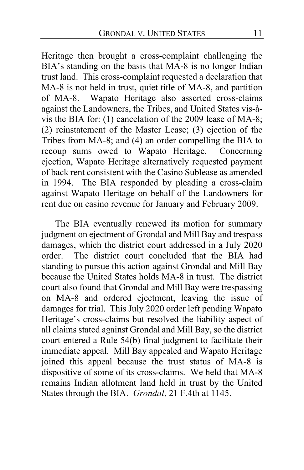Heritage then brought a cross-complaint challenging the BIA's standing on the basis that MA-8 is no longer Indian trust land. This cross-complaint requested a declaration that MA-8 is not held in trust, quiet title of MA-8, and partition of MA-8. Wapato Heritage also asserted cross-claims against the Landowners, the Tribes, and United States vis-àvis the BIA for: (1) cancelation of the 2009 lease of MA-8; (2) reinstatement of the Master Lease; (3) ejection of the Tribes from MA-8; and (4) an order compelling the BIA to recoup sums owed to Wapato Heritage.Concerning ejection, Wapato Heritage alternatively requested payment of back rent consistent with the Casino Sublease as amended in 1994. The BIA responded by pleading a cross-claim against Wapato Heritage on behalf of the Landowners for rent due on casino revenue for January and February 2009.

The BIA eventually renewed its motion for summary judgment on ejectment of Grondal and Mill Bay and trespass damages, which the district court addressed in a July 2020 order. The district court concluded that the BIA had standing to pursue this action against Grondal and Mill Bay because the United States holds MA-8 in trust.The district court also found that Grondal and Mill Bay were trespassing on MA-8 and ordered ejectment, leaving the issue of damages for trial. This July 2020 order left pending Wapato Heritage's cross-claims but resolved the liability aspect of all claims stated against Grondal and Mill Bay, so the district court entered a Rule 54(b) final judgment to facilitate their immediate appeal. Mill Bay appealed and Wapato Heritage joined this appeal because the trust status of MA-8 is dispositive of some of its cross-claims. We held that MA-8 remains Indian allotment land held in trust by the United States through the BIA. *Grondal*, 21 F.4th at 1145.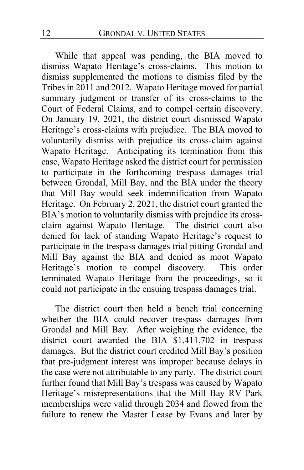While that appeal was pending, the BIA moved to dismiss Wapato Heritage's cross-claims. This motion to dismiss supplemented the motions to dismiss filed by the Tribes in 2011 and 2012. Wapato Heritage moved for partial summary judgment or transfer of its cross-claims to the Court of Federal Claims, and to compel certain discovery. On January 19, 2021, the district court dismissed Wapato Heritage's cross-claims with prejudice.The BIA moved to voluntarily dismiss with prejudice its cross-claim against Wapato Heritage. Anticipating its termination from this case, Wapato Heritage asked the district court for permission to participate in the forthcoming trespass damages trial between Grondal, Mill Bay, and the BIA under the theory that Mill Bay would seek indemnification from Wapato Heritage. On February 2, 2021, the district court granted the BIA's motion to voluntarily dismiss with prejudice its crossclaim against Wapato Heritage. The district court also denied for lack of standing Wapato Heritage's request to participate in the trespass damages trial pitting Grondal and Mill Bay against the BIA and denied as moot Wapato Heritage's motion to compel discovery. This order terminated Wapato Heritage from the proceedings, so it could not participate in the ensuing trespass damages trial.

The district court then held a bench trial concerning whether the BIA could recover trespass damages from Grondal and Mill Bay. After weighing the evidence, the district court awarded the BIA \$1,411,702 in trespass damages. But the district court credited Mill Bay's position that pre-judgment interest was improper because delays in the case were not attributable to any party. The district court further found that Mill Bay's trespass was caused by Wapato Heritage's misrepresentations that the Mill Bay RV Park memberships were valid through 2034 and flowed from the failure to renew the Master Lease by Evans and later by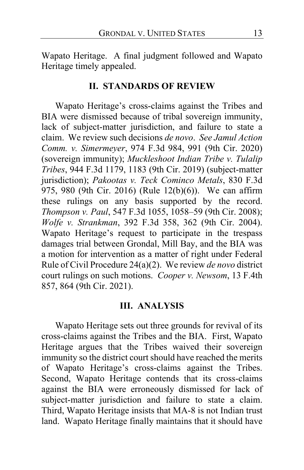Wapato Heritage. A final judgment followed and Wapato Heritage timely appealed.

#### **II. STANDARDS OF REVIEW**

Wapato Heritage's cross-claims against the Tribes and BIA were dismissed because of tribal sovereign immunity, lack of subject-matter jurisdiction, and failure to state a claim. We review such decisions *de novo*. *See Jamul Action Comm. v. Simermeyer*, 974 F.3d 984, 991 (9th Cir. 2020) (sovereign immunity); *Muckleshoot Indian Tribe v. Tulalip Tribes*, 944 F.3d 1179, 1183 (9th Cir. 2019) (subject-matter jurisdiction); *Pakootas v. Teck Cominco Metals*, 830 F.3d 975, 980 (9th Cir. 2016) (Rule 12(b)(6)). We can affirm these rulings on any basis supported by the record. *Thompson v. Paul*, 547 F.3d 1055, 1058–59 (9th Cir. 2008); *Wolfe v. Strankman*, 392 F.3d 358, 362 (9th Cir. 2004). Wapato Heritage's request to participate in the trespass damages trial between Grondal, Mill Bay, and the BIA was a motion for intervention as a matter of right under Federal Rule of Civil Procedure 24(a)(2). We review *de novo* district court rulings on such motions. *Cooper v. Newsom*, 13 F.4th 857, 864 (9th Cir. 2021).

#### **III. ANALYSIS**

Wapato Heritage sets out three grounds for revival of its cross-claims against the Tribes and the BIA. First, Wapato Heritage argues that the Tribes waived their sovereign immunity so the district court should have reached the merits of Wapato Heritage's cross-claims against the Tribes. Second, Wapato Heritage contends that its cross-claims against the BIA were erroneously dismissed for lack of subject-matter jurisdiction and failure to state a claim. Third, Wapato Heritage insists that MA-8 is not Indian trust land.Wapato Heritage finally maintains that it should have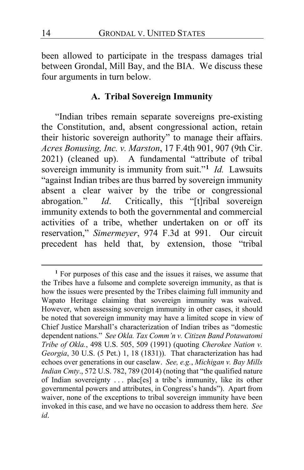been allowed to participate in the trespass damages trial between Grondal, Mill Bay, and the BIA. We discuss these four arguments in turn below.

#### **A. Tribal Sovereign Immunity**

"Indian tribes remain separate sovereigns pre-existing the Constitution, and, absent congressional action, retain their historic sovereign authority" to manage their affairs. *Acres Bonusing, Inc. v. Marston*, 17 F.4th 901, 907 (9th Cir. 2021) (cleaned up). A fundamental "attribute of tribal sovereign immunity is immunity from suit."**[1](#page-13-0)** *Id.* Lawsuits "against Indian tribes are thus barred by sovereign immunity absent a clear waiver by the tribe or congressional abrogation." *Id*. Critically, this "[t]ribal sovereign immunity extends to both the governmental and commercial activities of a tribe, whether undertaken on or off its reservation," *Simermeyer*, 974 F.3d at 991. Our circuit precedent has held that, by extension, those "tribal

<span id="page-13-0"></span>**<sup>1</sup>** For purposes of this case and the issues it raises, we assume that the Tribes have a fulsome and complete sovereign immunity, as that is how the issues were presented by the Tribes claiming full immunity and Wapato Heritage claiming that sovereign immunity was waived. However, when assessing sovereign immunity in other cases, it should be noted that sovereign immunity may have a limited scope in view of Chief Justice Marshall's characterization of Indian tribes as "domestic dependent nations." *See Okla. Tax Comm'n v. Citizen Band Potawatomi Tribe of Okla.*, 498 U.S. 505, 509 (1991) (quoting *Cherokee Nation v. Georgia*, 30 U.S. (5 Pet.) 1, 18 (1831)). That characterization has had echoes over generations in our caselaw. *See, e.g.*, *Michigan v. Bay Mills Indian Cmty*., 572 U.S. 782, 789 (2014) (noting that "the qualified nature of Indian sovereignty . . . plac[es] a tribe's immunity, like its other governmental powers and attributes, in Congress's hands"). Apart from waiver, none of the exceptions to tribal sovereign immunity have been invoked in this case, and we have no occasion to address them here. *See id*.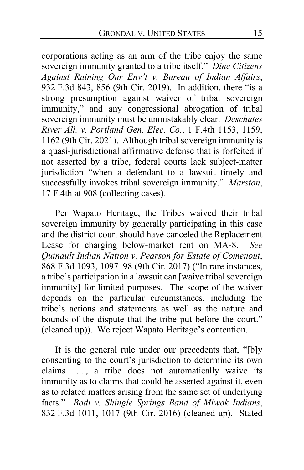corporations acting as an arm of the tribe enjoy the same sovereign immunity granted to a tribe itself." *Dine Citizens Against Ruining Our Env't v. Bureau of Indian Affairs*, 932 F.3d 843, 856 (9th Cir. 2019). In addition, there "is a strong presumption against waiver of tribal sovereign immunity," and any congressional abrogation of tribal sovereign immunity must be unmistakably clear. *Deschutes River All. v. Portland Gen. Elec. Co.*, 1 F.4th 1153, 1159, 1162 (9th Cir. 2021). Although tribal sovereign immunity is a quasi-jurisdictional affirmative defense that is forfeited if not asserted by a tribe, federal courts lack subject-matter jurisdiction "when a defendant to a lawsuit timely and successfully invokes tribal sovereign immunity." *Marston*, 17 F.4th at 908 (collecting cases).

Per Wapato Heritage, the Tribes waived their tribal sovereign immunity by generally participating in this case and the district court should have canceled the Replacement Lease for charging below-market rent on MA-8. *See Quinault Indian Nation v. Pearson for Estate of Comenout*, 868 F.3d 1093, 1097–98 (9th Cir. 2017) ("In rare instances, a tribe's participation in a lawsuit can [waive tribal sovereign immunity] for limited purposes. The scope of the waiver depends on the particular circumstances, including the tribe's actions and statements as well as the nature and bounds of the dispute that the tribe put before the court." (cleaned up)). We reject Wapato Heritage's contention.

It is the general rule under our precedents that, "[b]y consenting to the court's jurisdiction to determine its own claims ..., a tribe does not automatically waive its immunity as to claims that could be asserted against it, even as to related matters arising from the same set of underlying facts." *Bodi v. Shingle Springs Band of Miwok Indians*, 832 F.3d 1011, 1017 (9th Cir. 2016) (cleaned up). Stated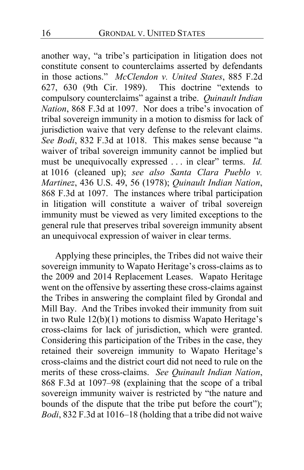another way, "a tribe's participation in litigation does not constitute consent to counterclaims asserted by defendants in those actions." *McClendon v. United States*, 885 F.2d 627, 630 (9th Cir. 1989). This doctrine "extends to compulsory counterclaims" against a tribe. *Quinault Indian Nation*, 868 F.3d at 1097. Nor does a tribe's invocation of tribal sovereign immunity in a motion to dismiss for lack of jurisdiction waive that very defense to the relevant claims. *See Bodi*, 832 F.3d at 1018. This makes sense because "a waiver of tribal sovereign immunity cannot be implied but must be unequivocally expressed . . . in clear" terms. *Id.* at 1016 (cleaned up); *see also Santa Clara Pueblo v. Martinez*, 436 U.S. 49, 56 (1978); *Quinault Indian Nation*, 868 F.3d at 1097. The instances where tribal participation in litigation will constitute a waiver of tribal sovereign immunity must be viewed as very limited exceptions to the general rule that preserves tribal sovereign immunity absent an unequivocal expression of waiver in clear terms.

Applying these principles, the Tribes did not waive their sovereign immunity to Wapato Heritage's cross-claims as to the 2009 and 2014 Replacement Leases. Wapato Heritage went on the offensive by asserting these cross-claims against the Tribes in answering the complaint filed by Grondal and Mill Bay.And the Tribes invoked their immunity from suit in two Rule 12(b)(1) motions to dismiss Wapato Heritage's cross-claims for lack of jurisdiction, which were granted. Considering this participation of the Tribes in the case, they retained their sovereign immunity to Wapato Heritage's cross-claims and the district court did not need to rule on the merits of these cross-claims. *See Quinault Indian Nation*, 868 F.3d at 1097–98 (explaining that the scope of a tribal sovereign immunity waiver is restricted by "the nature and bounds of the dispute that the tribe put before the court"); *Bodi*, 832 F.3d at 1016–18 (holding that a tribe did not waive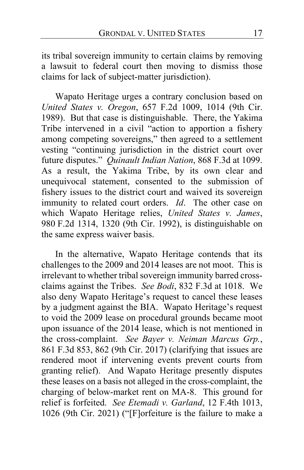its tribal sovereign immunity to certain claims by removing a lawsuit to federal court then moving to dismiss those claims for lack of subject-matter jurisdiction).

Wapato Heritage urges a contrary conclusion based on *United States v. Oregon*, 657 F.2d 1009, 1014 (9th Cir. 1989). But that case is distinguishable. There, the Yakima Tribe intervened in a civil "action to apportion a fishery among competing sovereigns," then agreed to a settlement vesting "continuing jurisdiction in the district court over future disputes." *Quinault Indian Nation*, 868 F.3d at 1099. As a result, the Yakima Tribe, by its own clear and unequivocal statement, consented to the submission of fishery issues to the district court and waived its sovereign immunity to related court orders. *Id*. The other case on which Wapato Heritage relies, *United States v. James*, 980 F.2d 1314, 1320 (9th Cir. 1992), is distinguishable on the same express waiver basis.

In the alternative, Wapato Heritage contends that its challenges to the 2009 and 2014 leases are not moot.This is irrelevant to whether tribal sovereign immunity barred crossclaims against the Tribes. *See Bodi*, 832 F.3d at 1018. We also deny Wapato Heritage's request to cancel these leases by a judgment against the BIA. Wapato Heritage's request to void the 2009 lease on procedural grounds became moot upon issuance of the 2014 lease, which is not mentioned in the cross-complaint. *See Bayer v. Neiman Marcus Grp.*, 861 F.3d 853, 862 (9th Cir. 2017) (clarifying that issues are rendered moot if intervening events prevent courts from granting relief). And Wapato Heritage presently disputes these leases on a basis not alleged in the cross-complaint, the charging of below-market rent on MA-8.This ground for relief is forfeited. *See Etemadi v. Garland*, 12 F.4th 1013, 1026 (9th Cir. 2021) ("[F]orfeiture is the failure to make a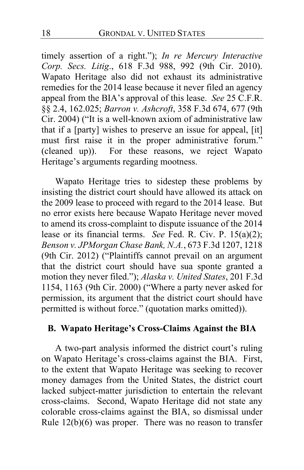timely assertion of a right."); *In re Mercury Interactive Corp. Secs. Litig*., 618 F.3d 988, 992 (9th Cir. 2010). Wapato Heritage also did not exhaust its administrative remedies for the 2014 lease because it never filed an agency appeal from the BIA's approval of this lease. *See* 25 C.F.R. §§ 2.4, 162.025; *Barron v. Ashcroft*, 358 F.3d 674, 677 (9th Cir. 2004) ("It is a well-known axiom of administrative law that if a [party] wishes to preserve an issue for appeal, [it] must first raise it in the proper administrative forum." (cleaned up)). For these reasons, we reject Wapato Heritage's arguments regarding mootness.

Wapato Heritage tries to sidestep these problems by insisting the district court should have allowed its attack on the 2009 lease to proceed with regard to the 2014 lease. But no error exists here because Wapato Heritage never moved to amend its cross-complaint to dispute issuance of the 2014 lease or its financial terms. *See* Fed. R. Civ. P. 15(a)(2); *Benson v. JPMorgan Chase Bank, N.A.*, 673 F.3d 1207, 1218 (9th Cir. 2012) ("Plaintiffs cannot prevail on an argument that the district court should have sua sponte granted a motion they never filed."); *Alaska v. United States*, 201 F.3d 1154, 1163 (9th Cir. 2000) ("Where a party never asked for permission, its argument that the district court should have permitted is without force." (quotation marks omitted)).

#### **B. Wapato Heritage's Cross-Claims Against the BIA**

A two-part analysis informed the district court's ruling on Wapato Heritage's cross-claims against the BIA. First, to the extent that Wapato Heritage was seeking to recover money damages from the United States, the district court lacked subject-matter jurisdiction to entertain the relevant cross-claims.Second, Wapato Heritage did not state any colorable cross-claims against the BIA, so dismissal under Rule 12(b)(6) was proper. There was no reason to transfer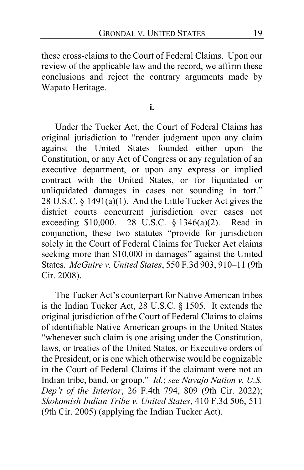these cross-claims to the Court of Federal Claims. Upon our review of the applicable law and the record, we affirm these conclusions and reject the contrary arguments made by Wapato Heritage.

**i.**

Under the Tucker Act, the Court of Federal Claims has original jurisdiction to "render judgment upon any claim against the United States founded either upon the Constitution, or any Act of Congress or any regulation of an executive department, or upon any express or implied contract with the United States, or for liquidated or unliquidated damages in cases not sounding in tort." 28 U.S.C. § 1491(a)(1). And the Little Tucker Act gives the district courts concurrent jurisdiction over cases not exceeding \$10,000. 28 U.S.C. § 1346(a)(2). Read in conjunction, these two statutes "provide for jurisdiction solely in the Court of Federal Claims for Tucker Act claims seeking more than \$10,000 in damages" against the United States. *McGuire v. United States*, 550 F.3d 903, 910–11 (9th Cir. 2008).

The Tucker Act's counterpart for Native American tribes is the Indian Tucker Act, 28 U.S.C. § 1505. It extends the original jurisdiction of the Court of Federal Claims to claims of identifiable Native American groups in the United States "whenever such claim is one arising under the Constitution, laws, or treaties of the United States, or Executive orders of the President, or is one which otherwise would be cognizable in the Court of Federal Claims if the claimant were not an Indian tribe, band, or group." *Id.*; *see Navajo Nation v. U.S. Dep't of the Interior*, 26 F.4th 794, 809 (9th Cir. 2022); *Skokomish Indian Tribe v. United States*, 410 F.3d 506, 511 (9th Cir. 2005) (applying the Indian Tucker Act).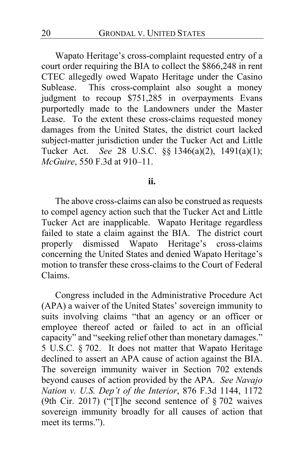Wapato Heritage's cross-complaint requested entry of a court order requiring the BIA to collect the \$866,248 in rent CTEC allegedly owed Wapato Heritage under the Casino Sublease. This cross-complaint also sought a money judgment to recoup \$751,285 in overpayments Evans purportedly made to the Landowners under the Master Lease.To the extent these cross-claims requested money damages from the United States, the district court lacked subject-matter jurisdiction under the Tucker Act and Little Tucker Act. *See* 28 U.S.C. §§ 1346(a)(2), 1491(a)(1); *McGuire*, 550 F.3d at 910–11.

#### **ii.**

The above cross-claims can also be construed as requests to compel agency action such that the Tucker Act and Little Tucker Act are inapplicable.Wapato Heritage regardless failed to state a claim against the BIA. The district court properly dismissed Wapato Heritage's cross-claims concerning the United States and denied Wapato Heritage's motion to transfer these cross-claims to the Court of Federal Claims.

Congress included in the Administrative Procedure Act (APA) a waiver of the United States' sovereign immunity to suits involving claims "that an agency or an officer or employee thereof acted or failed to act in an official capacity" and "seeking relief other than monetary damages." 5 U.S.C. § 702. It does not matter that Wapato Heritage declined to assert an APA cause of action against the BIA. The sovereign immunity waiver in Section 702 extends beyond causes of action provided by the APA. *See Navajo Nation v. U.S. Dep't of the Interior*, 876 F.3d 1144, 1172 (9th Cir. 2017) ("[T]he second sentence of § 702 waives sovereign immunity broadly for all causes of action that meet its terms.").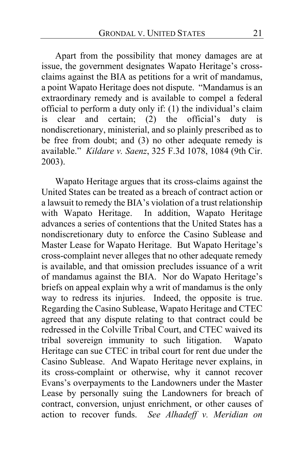Apart from the possibility that money damages are at issue, the government designates Wapato Heritage's crossclaims against the BIA as petitions for a writ of mandamus, a point Wapato Heritage does not dispute. "Mandamus is an extraordinary remedy and is available to compel a federal official to perform a duty only if: (1) the individual's claim is clear and certain; (2) the official's duty is nondiscretionary, ministerial, and so plainly prescribed as to be free from doubt; and (3) no other adequate remedy is available." *Kildare v. Saenz*, 325 F.3d 1078, 1084 (9th Cir. 2003).

Wapato Heritage argues that its cross-claims against the United States can be treated as a breach of contract action or a lawsuit to remedy the BIA's violation of a trust relationship with Wapato Heritage. In addition, Wapato Heritage advances a series of contentions that the United States has a nondiscretionary duty to enforce the Casino Sublease and Master Lease for Wapato Heritage.But Wapato Heritage's cross-complaint never alleges that no other adequate remedy is available, and that omission precludes issuance of a writ of mandamus against the BIA. Nor do Wapato Heritage's briefs on appeal explain why a writ of mandamus is the only way to redress its injuries. Indeed, the opposite is true. Regarding the Casino Sublease, Wapato Heritage and CTEC agreed that any dispute relating to that contract could be redressed in the Colville Tribal Court, and CTEC waived its tribal sovereign immunity to such litigation. Wapato Heritage can sue CTEC in tribal court for rent due under the Casino Sublease. And Wapato Heritage never explains, in its cross-complaint or otherwise, why it cannot recover Evans's overpayments to the Landowners under the Master Lease by personally suing the Landowners for breach of contract, conversion, unjust enrichment, or other causes of action to recover funds. *See Alhadeff v. Meridian on*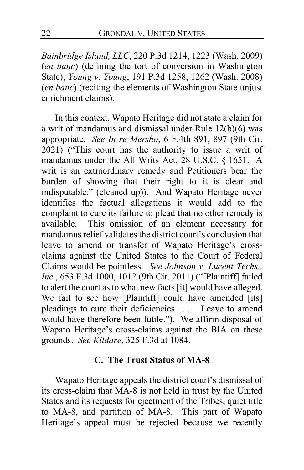*Bainbridge Island, LLC*, 220 P.3d 1214, 1223 (Wash. 2009) (*en banc*) (defining the tort of conversion in Washington State); *Young v. Young*, 191 P.3d 1258, 1262 (Wash. 2008) (*en banc*) (reciting the elements of Washington State unjust enrichment claims).

In this context, Wapato Heritage did not state a claim for a writ of mandamus and dismissal under Rule 12(b)(6) was appropriate. *See In re Mersho*, 6 F.4th 891, 897 (9th Cir. 2021) ("This court has the authority to issue a writ of mandamus under the All Writs Act, 28 U.S.C. § 1651. A writ is an extraordinary remedy and Petitioners bear the burden of showing that their right to it is clear and indisputable." (cleaned up)). And Wapato Heritage never identifies the factual allegations it would add to the complaint to cure its failure to plead that no other remedy is available.This omission of an element necessary for mandamus relief validates the district court's conclusion that leave to amend or transfer of Wapato Heritage's crossclaims against the United States to the Court of Federal Claims would be pointless. *See Johnson v. Lucent Techs., Inc.*, 653 F.3d 1000, 1012 (9th Cir. 2011) ("[Plaintiff] failed to alert the court as to what new facts [it] would have alleged. We fail to see how [Plaintiff] could have amended [its] pleadings to cure their deficiencies . . . . Leave to amend would have therefore been futile."). We affirm disposal of Wapato Heritage's cross-claims against the BIA on these grounds. *See Kildare*, 325 F.3d at 1084.

#### **C. The Trust Status of MA-8**

Wapato Heritage appeals the district court's dismissal of its cross-claim that MA-8 is not held in trust by the United States and its requests for ejectment of the Tribes, quiet title to MA-8, and partition of MA-8. This part of Wapato Heritage's appeal must be rejected because we recently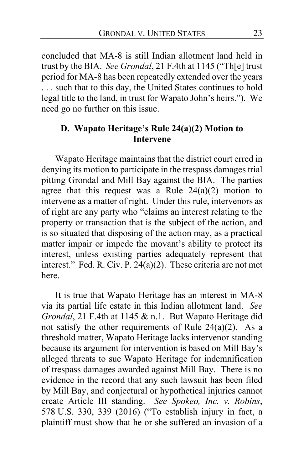concluded that MA-8 is still Indian allotment land held in trust by the BIA. *See Grondal*, 21 F.4th at 1145 ("Th[e] trust period for MA-8 has been repeatedly extended over the years . . . such that to this day, the United States continues to hold legal title to the land, in trust for Wapato John's heirs."). We need go no further on this issue.

### **D. Wapato Heritage's Rule 24(a)(2) Motion to Intervene**

Wapato Heritage maintains that the district court erred in denying its motion to participate in the trespass damages trial pitting Grondal and Mill Bay against the BIA. The parties agree that this request was a Rule  $24(a)(2)$  motion to intervene as a matter of right.Under this rule, intervenors as of right are any party who "claims an interest relating to the property or transaction that is the subject of the action, and is so situated that disposing of the action may, as a practical matter impair or impede the movant's ability to protect its interest, unless existing parties adequately represent that interest." Fed. R. Civ. P. 24(a)(2). These criteria are not met here.

It is true that Wapato Heritage has an interest in MA-8 via its partial life estate in this Indian allotment land. *See Grondal*, 21 F.4th at 1145 & n.1. But Wapato Heritage did not satisfy the other requirements of Rule  $24(a)(2)$ . As a threshold matter, Wapato Heritage lacks intervenor standing because its argument for intervention is based on Mill Bay's alleged threats to sue Wapato Heritage for indemnification of trespass damages awarded against Mill Bay. There is no evidence in the record that any such lawsuit has been filed by Mill Bay, and conjectural or hypothetical injuries cannot create Article III standing. *See Spokeo, Inc. v. Robins*, 578 U.S. 330, 339 (2016) ("To establish injury in fact, a plaintiff must show that he or she suffered an invasion of a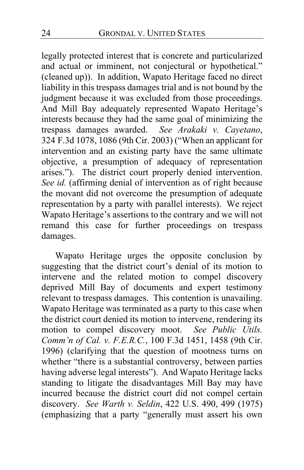legally protected interest that is concrete and particularized and actual or imminent, not conjectural or hypothetical." (cleaned up)). In addition, Wapato Heritage faced no direct liability in this trespass damages trial and is not bound by the judgment because it was excluded from those proceedings. And Mill Bay adequately represented Wapato Heritage's interests because they had the same goal of minimizing the trespass damages awarded. *See Arakaki v. Cayetano*, 324 F.3d 1078, 1086 (9th Cir. 2003) ("When an applicant for intervention and an existing party have the same ultimate objective, a presumption of adequacy of representation arises."). The district court properly denied intervention. *See id.* (affirming denial of intervention as of right because the movant did not overcome the presumption of adequate representation by a party with parallel interests). We reject Wapato Heritage's assertions to the contrary and we will not remand this case for further proceedings on trespass damages.

Wapato Heritage urges the opposite conclusion by suggesting that the district court's denial of its motion to intervene and the related motion to compel discovery deprived Mill Bay of documents and expert testimony relevant to trespass damages. This contention is unavailing. Wapato Heritage was terminated as a party to this case when the district court denied its motion to intervene, rendering its motion to compel discovery moot. *See Public Utils. Comm'n of Cal. v. F.E.R.C.*, 100 F.3d 1451, 1458 (9th Cir. 1996) (clarifying that the question of mootness turns on whether "there is a substantial controversy, between parties having adverse legal interests"). And Wapato Heritage lacks standing to litigate the disadvantages Mill Bay may have incurred because the district court did not compel certain discovery. *See Warth v. Seldin*, 422 U.S. 490, 499 (1975) (emphasizing that a party "generally must assert his own